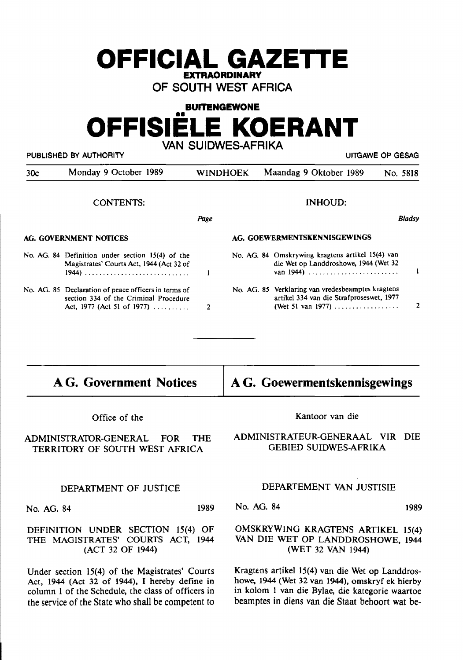# **OFFICIAL GAZETIE EXTRAORDINARY**

**OF SOUTH WEST AFRICA** 

# **BUITENGEWONE OFFISIELE KOERANT VAN SUIDWES-AFRIKA**

PUBLISHED BY AUTHORITY **EXAGGED BY AUTHORITY EXAGGED AT AUTHORITY ULLGAWE OP GESAG** 

| 30c | Monday 9 October 1989                                                                                                                | WINDHOEK | Maandag 9 Oktober 1989                                                                                             | No. 5818 |        |
|-----|--------------------------------------------------------------------------------------------------------------------------------------|----------|--------------------------------------------------------------------------------------------------------------------|----------|--------|
|     | <b>CONTENTS:</b>                                                                                                                     |          | <b>INHOUD:</b>                                                                                                     |          |        |
|     |                                                                                                                                      | Page     |                                                                                                                    |          | Bladsy |
|     | AG. GOVERNMENT NOTICES                                                                                                               |          | AG. GOEWERMENTSKENNISGEWINGS                                                                                       |          |        |
|     | No. AG. 84 Definition under section 15(4) of the<br>Magistrates' Courts Act, 1944 (Act 32 of                                         |          | No. AG. 84 Omskrywing kragtens artikel 15(4) van<br>die Wet op Landdroshowe, 1944 (Wet 32<br>van 1944)             |          |        |
|     | No. AG. 85 Declaration of peace officers in terms of<br>section 334 of the Criminal Procedure<br>Act, 1977 (Act 51 of 1977) $\ldots$ | 2        | No. AG. 85 Verklaring van vredesbeamptes kragtens<br>artikel 334 van die Strafproseswet, 1977<br>(Wet 51 van 1977) |          |        |

# **AG. Government Notices**

**A G. Goewermentskennisgewings** 

Office of the

ADMINISTRA1DR-GENERAL FOR THE TERRITORY OF SOUTH WEST AFRICA

## DEPARTMENT OF JUSTICE

No. AG. 84 1989

DEFINITION UNDER SECTION 15(4) OF THE MAGISTRATES' COURTS ACT, 1944 (ACT 32 OF 1944)

Under section 15(4) of the Magistrates' Courts Act, 1944 (Act 32 of 1944), I hereby define in column 1 of the Schedule, the class of officers in the service of the State who shall be competent to Kantoor van die

## ADMINISTRATEUR-OENERAAL VIR DIE GEBIED SUIDWES-AFRIKA

## DEPARTEMENT VAN JUSTISIE

No. AG. 84 1989

## OMSKRYWINO KRAOTENS ARTlKEL 15(4) VAN DIE WET OP LANDDROSHOWE, 1944 (WET 32 VAN 1944)

Kragtens artikel 15(4) van die Wet op Landdroshowe, 1944 (Wet 32 van 1944), omskryf ek hierby in kolom 1 van die Bylae, die kategorie waartoe beamptes in diens van die Staat behoort wat be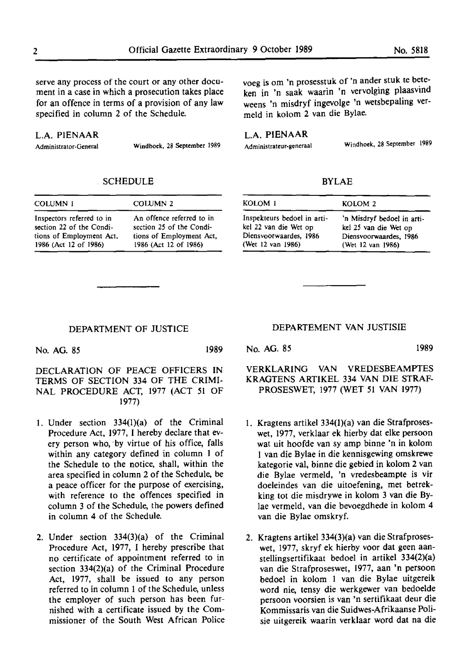serve any process of the court or any other document in a case in which a prosecution takes place for an offence in terms of a provision of any law specified in column 2 of the Schedule.

#### **L.A. PIENAAR**

Administrator-General Windhoek, 28 September 1989

#### SCHEDULE

| <b>COLUMN 1</b>           | COLUMN <sub>2</sub>       |
|---------------------------|---------------------------|
| Inspectors referred to in | An offence referred to in |
| section 22 of the Condi-  | section 25 of the Condi-  |
| tions of Employment Act,  | tions of Employment Act,  |
| 1986 (Act 12 of 1986)     | 1986 (Act 12 of 1986)     |

voeg is om 'n prosesstuk of 'n ander stuk te beteken in 'n saak waarin 'n vervolging plaasvind weens 'n misdryf ingevolge 'n wetsbepaling vermeld in kolom 2 van die Bylae.

L.A. **PIENAAR** 

Administrateur-generaal Windhoek, 28 September 1989

BYLAE

| KOLOM 1                     | KOLOM <sub>2</sub>         |
|-----------------------------|----------------------------|
| Inspekteurs bedoel in arti- | 'n Misdryf bedoel in arti- |
| kel 22 van die Wet op       | kel 25 van die Wet op      |
| Diensvoorwaardes, 1986      | Diensvoorwaardes, 1986     |
| (Wet 12 van 1986)           | (Wet 12 van 1986)          |

#### DEPARTMENT OF JUSTICE

No. AG. 85 1989

DECLARATION OF PEACE OFFICERS IN TERMS OF SECTION 334 OF THE CRIMI-NAL PROCEDURE ACT, 1977 (ACT 51 OF 1977)

- 1. Under section 334(1)(a) of the Criminal Procedure Act, 1977, I hereby declare that every person who, by virtue of his office, falls within any category defined in column 1 of the Schedule to the notice, shall, within the area specified in column 2 of the Schedule, be a peace officer for the purpose of exercising, with reference to the offences specified in column 3 of the Schedule, the powers defined in column 4 of the Schedule.
- 2. Under section 334(3)(a) of the Criminal Procedure Act, 1977, I hereby prescribe that no certificate of appointment referred to in section 334(2)(a) of the Criminal Procedure Act, 1977, shall be issued to any person referred to in column 1 of the Schedule, unless the employer of such person has been furnished with a certificate issued by the Commissioner of the South West African Police

DEPARTEMENT VAN JUSTISIE

No. AG. 85 1989

VERKLARING VAN VREDESBEAMPTES KRAGTENS ARTIKEL 334 VAN DIE STRAF-PROSESWET, 1977 (WET 51 VAN 1977)

- 1. Kragtens artikel 334(1)(a) van die Strafproseswet, 1977, verklaar ek hierby dat elke persoon wat uit hoofde van sy amp binne 'n in kolom I van die Bylae in die kennisgewing omskrewe kategorie val, binne die gebied in kolom 2 van die Bylae vermeld, 'n vredesbeampte is vir doeleindes van die uitoefening, met betrekking tot die misdrywe in kolom 3 van die Bylae vermeld, van die bevoegdhede in kolom 4 van die Bylae omskryf.
- 2. Kragtens artikel 334(3)(a) van die Strafproseswet, 1977, skryf ek hierby voor dat geen aanstellingsertifikaat bedoel in artikel 334(2)(a) van die Strafproseswet, 1977, aan 'n persoon bedoel in kolom 1 van die Bylae uitgereik word nie, tensy die werkgewer van bedoelde persoon voorsien is van 'n sertifikaat deur die Kommissaris van die Suidwes-Afrikaanse Polisie uitgereik waarin verklaar word dat na die